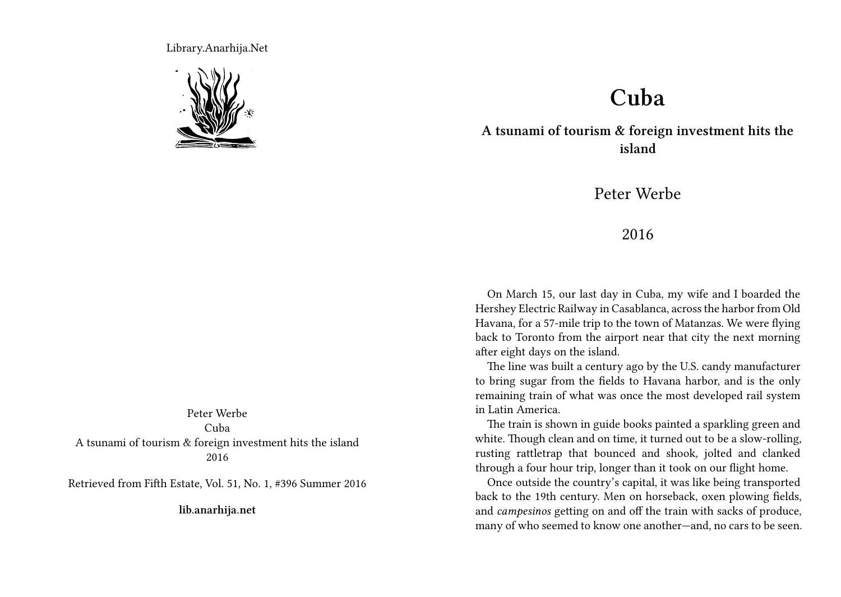Library.Anarhija.Net



Peter Werbe Cuba A tsunami of tourism & foreign investment hits the island 2016

Retrieved from Fifth Estate, Vol. 51, No. 1, #396 Summer 2016

**lib.anarhija.net**

## **Cuba**

**A tsunami of tourism & foreign investment hits the island**

Peter Werbe

## 2016

On March 15, our last day in Cuba, my wife and I boarded the Hershey Electric Railway in Casablanca, across the harbor from Old Havana, for a 57-mile trip to the town of Matanzas. We were flying back to Toronto from the airport near that city the next morning after eight days on the island.

The line was built a century ago by the U.S. candy manufacturer to bring sugar from the fields to Havana harbor, and is the only remaining train of what was once the most developed rail system in Latin America.

The train is shown in guide books painted a sparkling green and white. Though clean and on time, it turned out to be a slow-rolling, rusting rattletrap that bounced and shook, jolted and clanked through a four hour trip, longer than it took on our flight home.

Once outside the country's capital, it was like being transported back to the 19th century. Men on horseback, oxen plowing fields, and *campesinos* getting on and off the train with sacks of produce, many of who seemed to know one another—and, no cars to be seen.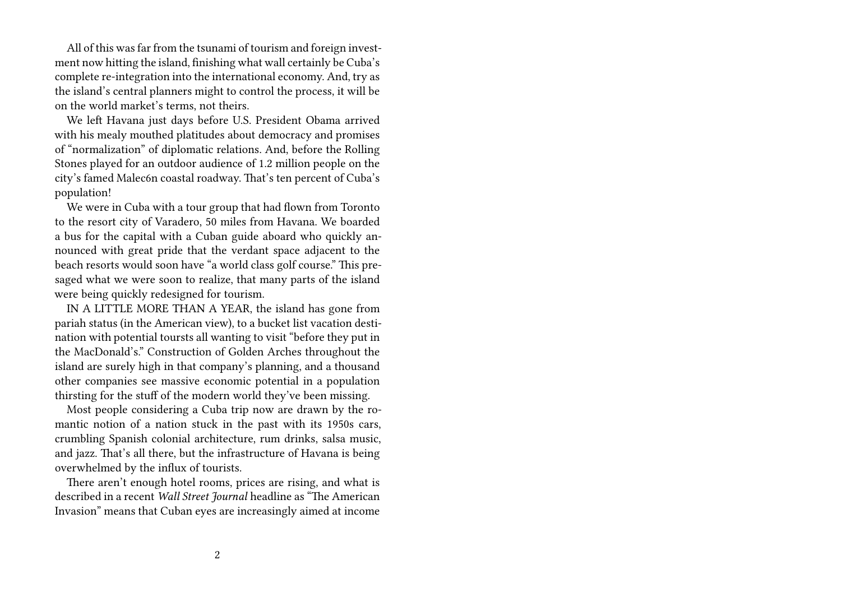All of this was far from the tsunami of tourism and foreign investment now hitting the island, finishing what wall certainly be Cuba's complete re-integration into the international economy. And, try as the island's central planners might to control the process, it will be on the world market's terms, not theirs.

We left Havana just days before U.S. President Obama arrived with his mealy mouthed platitudes about democracy and promises of "normalization" of diplomatic relations. And, before the Rolling Stones played for an outdoor audience of 1.2 million people on the city's famed Malec6n coastal roadway. That's ten percent of Cuba's population!

We were in Cuba with a tour group that had flown from Toronto to the resort city of Varadero, 50 miles from Havana. We boarded a bus for the capital with a Cuban guide aboard who quickly announced with great pride that the verdant space adjacent to the beach resorts would soon have "a world class golf course." This presaged what we were soon to realize, that many parts of the island were being quickly redesigned for tourism.

IN A LITTLE MORE THAN A YEAR, the island has gone from pariah status (in the American view), to a bucket list vacation destination with potential toursts all wanting to visit "before they put in the MacDonald's." Construction of Golden Arches throughout the island are surely high in that company's planning, and a thousand other companies see massive economic potential in a population thirsting for the stuff of the modern world they've been missing.

Most people considering a Cuba trip now are drawn by the romantic notion of a nation stuck in the past with its 1950s cars, crumbling Spanish colonial architecture, rum drinks, salsa music, and jazz. That's all there, but the infrastructure of Havana is being overwhelmed by the influx of tourists.

There aren't enough hotel rooms, prices are rising, and what is described in a recent *Wall Street Journal* headline as "The American Invasion" means that Cuban eyes are increasingly aimed at income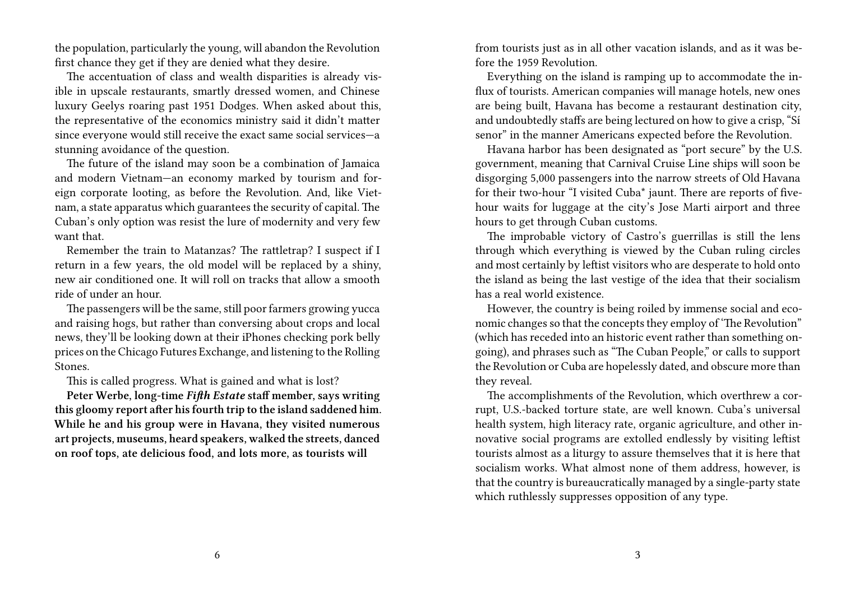the population, particularly the young, will abandon the Revolution first chance they get if they are denied what they desire.

The accentuation of class and wealth disparities is already visible in upscale restaurants, smartly dressed women, and Chinese luxury Geelys roaring past 1951 Dodges. When asked about this, the representative of the economics ministry said it didn't matter since everyone would still receive the exact same social services—a stunning avoidance of the question.

The future of the island may soon be a combination of Jamaica and modern Vietnam—an economy marked by tourism and foreign corporate looting, as before the Revolution. And, like Vietnam, a state apparatus which guarantees the security of capital. The Cuban's only option was resist the lure of modernity and very few want that.

Remember the train to Matanzas? The rattletrap? I suspect if I return in a few years, the old model will be replaced by a shiny, new air conditioned one. It will roll on tracks that allow a smooth ride of under an hour.

The passengers will be the same, still poor farmers growing yucca and raising hogs, but rather than conversing about crops and local news, they'll be looking down at their iPhones checking pork belly prices on the Chicago Futures Exchange, and listening to the Rolling Stones.

This is called progress. What is gained and what is lost?

**Peter Werbe, long-time** *Fifth Estate* **staff member, says writing this gloomy report after his fourth trip to the island saddened him. While he and his group were in Havana, they visited numerous art projects, museums, heard speakers, walked the streets, danced on roof tops, ate delicious food, and lots more, as tourists will**

from tourists just as in all other vacation islands, and as it was before the 1959 Revolution.

Everything on the island is ramping up to accommodate the influx of tourists. American companies will manage hotels, new ones are being built, Havana has become a restaurant destination city, and undoubtedly staffs are being lectured on how to give a crisp, "Sí senor" in the manner Americans expected before the Revolution.

Havana harbor has been designated as "port secure" by the U.S. government, meaning that Carnival Cruise Line ships will soon be disgorging 5,000 passengers into the narrow streets of Old Havana for their two-hour "I visited Cuba\* jaunt. There are reports of fivehour waits for luggage at the city's Jose Marti airport and three hours to get through Cuban customs.

The improbable victory of Castro's guerrillas is still the lens through which everything is viewed by the Cuban ruling circles and most certainly by leftist visitors who are desperate to hold onto the island as being the last vestige of the idea that their socialism has a real world existence.

However, the country is being roiled by immense social and economic changes so that the concepts they employ of 'The Revolution" (which has receded into an historic event rather than something ongoing), and phrases such as "The Cuban People," or calls to support the Revolution or Cuba are hopelessly dated, and obscure more than they reveal.

The accomplishments of the Revolution, which overthrew a corrupt, U.S.-backed torture state, are well known. Cuba's universal health system, high literacy rate, organic agriculture, and other innovative social programs are extolled endlessly by visiting leftist tourists almost as a liturgy to assure themselves that it is here that socialism works. What almost none of them address, however, is that the country is bureaucratically managed by a single-party state which ruthlessly suppresses opposition of any type.